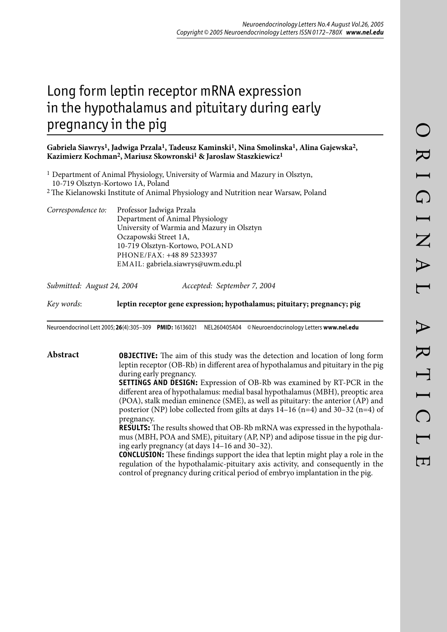# Long form leptin receptor mRNA expression in the hypothalamus and pituitary during early pregnancy in the pig

## **Gabriela Siawrys1, Jadwiga Przala1, Tadeusz Kaminski1, Nina Smolinska1, Alina Gajewska2, Kazimierz Kochman2, Mariusz Skowronski1 & Jaroslaw Staszkiewicz1**

| <sup>1</sup> Department of Animal Physiology, University of Warmia and Mazury in Olsztyn,     |  |
|-----------------------------------------------------------------------------------------------|--|
| 10-719 Olsztyn-Kortowo 1A, Poland                                                             |  |
| <sup>2</sup> The Kielanowski Institute of Animal Physiology and Nutrition near Warsaw, Poland |  |

*Correspondence to:* Professor Jadwiga Przala Department of Animal Physiology University of Warmia and Mazury in Olsztyn Oczapowski Street 1A, 10-719 Olsztyn-Kortowo, POLAND PHONE/FAX: +48 89 5233937 EMAIL: gabriela.siawrys@uwm.edu.pl

| Submitted: August 24, 2004 | Accepted: September 7, 2004 |
|----------------------------|-----------------------------|
|----------------------------|-----------------------------|

*Key words*: **leptin receptor gene expression; hypothalamus; pituitary; pregnancy; pig**

Neuroendocrinol Lett 2005; **26**(4):305–309 **PMID:** 16136021 NEL260405A04 © Neuroendocrinology Letters **www.nel.edu**

**Abstract OBJECTIVE:** The aim of this study was the detection and location of long form leptin receptor (OB-Rb) in different area of hypothalamus and pituitary in the pig during early pregnancy.

> **SETTINGS AND DESIGN:** Expression of OB-Rb was examined by RT-PCR in the different area of hypothalamus: medial basal hypothalamus (MBH), preoptic area (POA), stalk median eminence (SME), as well as pituitary: the anterior (AP) and posterior (NP) lobe collected from gilts at days  $14-16$  (n=4) and  $30-32$  (n=4) of pregnancy.

> **RESULTS:** The results showed that OB-Rb mRNA was expressed in the hypothalamus (MBH, POA and SME), pituitary (AP, NP) and adipose tissue in the pig during early pregnancy (at days 14–16 and 30–32).

> **CONCLUSION:** These findings support the idea that leptin might play a role in the regulation of the hypothalamic-pituitary axis activity, and consequently in the control of pregnancy during critical period of embryo implantation in the pig.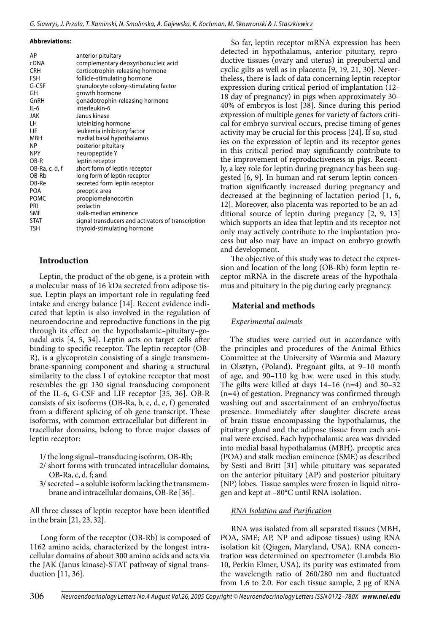**Abbreviations:**

| AP             | anterior pituitary                                 |
|----------------|----------------------------------------------------|
| <b>cDNA</b>    | complementary deoxyribonucleic acid                |
| <b>CRH</b>     | corticotrophin-releasing hormone                   |
| <b>FSH</b>     | follicle-stimulating hormone                       |
| G-CSF          | granulocyte colony-stimulating factor              |
| GH             | growth hormone                                     |
| GnRH           | gonadotrophin-releasing hormone                    |
| $IL-6$         | interleukin-6                                      |
| JAK            | Janus kinase                                       |
| LН             | luteinizing hormone                                |
| LIF            | leukemia inhibitory factor                         |
| <b>MBH</b>     | medial basal hypothalamus                          |
| ΝP             | posterior pituitary                                |
| <b>NPY</b>     | neuropeptide Y                                     |
| $OR-R$         | leptin receptor                                    |
| OB-Ra, c, d, f | short form of leptin receptor                      |
| OB-Rb          | long form of leptin receptor                       |
| OB-Re          | secreted form leptin receptor                      |
| POA            | preoptic area                                      |
| <b>POMC</b>    | proopiomelanocortin                                |
| PRL            | prolactin                                          |
| <b>SME</b>     | stalk-median eminence                              |
| <b>STAT</b>    | signal transducers and activators of transcription |
| TSH            | thyroid-stimulating hormone                        |
|                |                                                    |

## **Introduction**

Leptin, the product of the ob gene, is a protein with a molecular mass of 16 kDa secreted from adipose tissue. Leptin plays an important role in regulating feed intake and energy balance [14]. Recent evidence indicated that leptin is also involved in the regulation of neuroendocrine and reproductive functions in the pig through its effect on the hypothalamic–pituitary–gonadal axis [4, 5, 34]. Leptin acts on target cells after binding to specific receptor. The leptin receptor (OB-R), is a glycoprotein consisting of a single transmembrane-spanning component and sharing a structural similarity to the class I of cytokine receptor that most resembles the gp 130 signal transducing component of the IL-6, G-CSF and LIF receptor [35, 36]. OB-R consists of six isoforms (OB-Ra, b, c, d, e, f) generated from a different splicing of ob gene transcript. These isoforms, with common extracellular but different intracellular domains, belong to three major classes of leptin receptor:

- 1/ the long signal–transducing isoform, OB-Rb;
- 2/ short forms with truncated intracellular domains, OB-Ra, c, d, f; and
- 3/ secreted a soluble isoform lacking the transmembrane and intracellular domains, OB-Re [36].

All three classes of leptin receptor have been identified in the brain [21, 23, 32].

Long form of the receptor (OB-Rb) is composed of 1162 amino acids, characterized by the longest intracellular domains of about 300 amino acids and acts via the JAK (Janus kinase)-STAT pathway of signal transduction [11, 36].

So far, leptin receptor mRNA expression has been detected in hypothalamus, anterior pituitary, reproductive tissues (ovary and uterus) in prepubertal and cyclic gilts as well as in placenta [9, 19, 21, 30]. Nevertheless, there is lack of data concerning leptin receptor expression during critical period of implantation (12– 18 day of pregnancy) in pigs when approximately 30– 40% of embryos is lost [38]. Since during this period expression of multiple genes for variety of factors critical for embryo survival occurs, precise timing of genes activity may be crucial for this process [24]. If so, studies on the expression of leptin and its receptor genes in this critical period may significantly contribute to the improvement of reproductiveness in pigs. Recently, a key role for leptin during pregnancy has been suggested [6, 9]. In human and rat serum leptin concentration significantly increased during pregnancy and decreased at the beginning of lactation period [1, 6, 12]. Moreover, also placenta was reported to be an additional source of leptin during pregancy [2, 9, 13] which supports an idea that leptin and its receptor not only may actively contribute to the implantation process but also may have an impact on embryo growth and development.

The objective of this study was to detect the expression and location of the long (OB-Rb) form leptin receptor mRNA in the discrete areas of the hypothalamus and pituitary in the pig during early pregnancy.

## **Material and methods**

## *Experimental animals*

The studies were carried out in accordance with the principles and procedures of the Animal Ethics Committee at the University of Warmia and Mazury in Olsztyn, (Poland). Pregnant gilts, at 9–10 month of age, and 90–110 kg b.w. were used in this study. The gilts were killed at days 14–16 (n=4) and 30–32 (n=4) of gestation. Pregnancy was confirmed through washing out and ascertainment of an embryo/foetus presence. Immediately after slaughter discrete areas of brain tissue encompassing the hypothalamus, the pituitary gland and the adipose tissue from each animal were excised. Each hypothalamic area was divided into medial basal hypothalamus (MBH), preoptic area (POA) and stalk median eminence (SME) as described by Sesti and Britt [31] while pituitary was separated on the anterior pituitary (AP) and posterior pituitary (NP) lobes. Tissue samples were frozen in liquid nitrogen and kept at –80°C until RNA isolation.

## *RNA Isolation and Purification*

RNA was isolated from all separated tissues (MBH, POA, SME; AP, NP and adipose tissues) using RNA isolation kit (Qiagen, Maryland, USA). RNA concentration was determined on spectrometer (Lambda Bio 10, Perkin Elmer, USA), its purity was estimated from the wavelength ratio of 260/280 nm and fluctuated from 1.6 to 2.0. For each tissue sample, 2 µg of RNA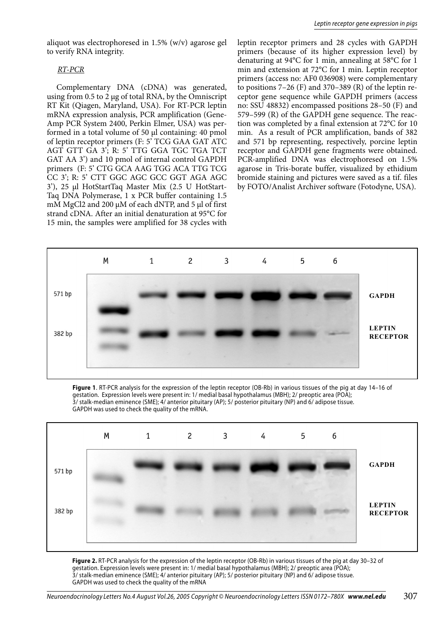aliquot was electrophoresed in 1.5% (w/v) agarose gel to verify RNA integrity.

#### *RT-PCR*

Complementary DNA (cDNA) was generated, using from 0.5 to 2 µg of total RNA, by the Omniscript RT Kit (Qiagen, Maryland, USA). For RT-PCR leptin mRNA expression analysis, PCR amplification (Gene-Amp PCR System 2400, Perkin Elmer, USA) was performed in a total volume of 50 µl containing: 40 pmol of leptin receptor primers (F: 5' TCG GAA GAT ATC AGT GTT GA 3'; R: 5' TTG GGA TGC TGA TCT GAT AA 3') and 10 pmol of internal control GAPDH primers (F: 5' CTG GCA AAG TGG ACA TTG TCG CC 3'; R: 5' CTT GGC AGC GCC GGT AGA AGC 3'), 25 µl HotStartTaq Master Mix (2.5 U HotStart-Taq DNA Polymerase, 1 x PCR buffer containing 1.5 mM MgCl2 and 200  $\mu$ M of each dNTP, and 5  $\mu$ l of first strand cDNA. After an initial denaturation at 95°C for 15 min, the samples were amplified for 38 cycles with leptin receptor primers and 28 cycles with GAPDH primers (because of its higher expression level) by denaturing at 94°C for 1 min, annealing at 58°C for 1 min and extension at 72°C for 1 min. Leptin receptor primers (access no: AF0 036908) were complementary to positions  $7-26$  (F) and  $370-389$  (R) of the leptin receptor gene sequence while GAPDH primers (access no: SSU 48832) encompassed positions 28–50 (F) and 579–599 (R) of the GAPDH gene sequence. The reaction was completed by a final extension at 72°C for 10 min. As a result of PCR amplification, bands of 382 and 571 bp representing, respectively, porcine leptin receptor and GAPDH gene fragments were obtained. PCR-amplified DNA was electrophoresed on 1.5% agarose in Tris-borate buffer, visualized by ethidium bromide staining and pictures were saved as a tif. files by FOTO/Analist Archiver software (Fotodyne, USA).



**Figure 1**. RT-PCR analysis for the expression of the leptin receptor (OB-Rb) in various tissues of the pig at day 14–16 of gestation. Expression levels were present in: 1/ medial basal hypothalamus (MBH); 2/ preoptic area (POA); 3/ stalk-median eminence (SME); 4/ anterior pituitary (AP); 5/ posterior pituitary (NP) and 6/ adipose tissue. GAPDH was used to check the quality of the mRNA.



**Figure 2.** RT-PCR analysis for the expression of the leptin receptor (OB-Rb) in various tissues of the pig at day 30–32 of gestation. Expression levels were present in: 1/ medial basal hypothalamus (MBH); 2/ preoptic area (POA); 3/ stalk-median eminence (SME); 4/ anterior pituitary (AP); 5/ posterior pituitary (NP) and 6/ adipose tissue. GAPDH was used to check the quality of the mRNA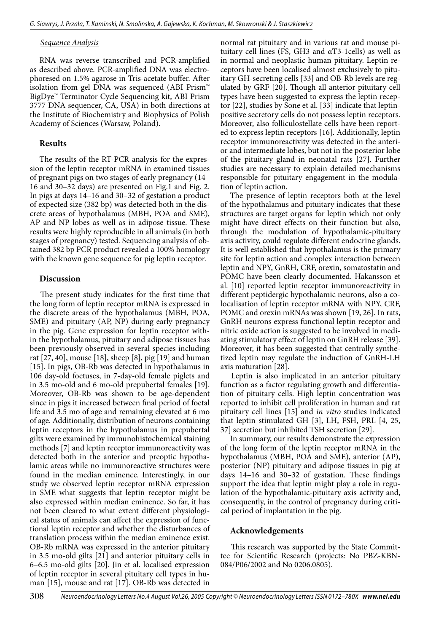#### *Sequence Analysis*

RNA was reverse transcribed and PCR-amplified as described above. PCR-amplified DNA was electrophoresed on 1.5% agarose in Tris-acetate buffer. After isolation from gel DNA was sequenced (ABI Prism™ BigDye™ Terminator Cycle Sequencing kit, ABI Prism 3777 DNA sequencer, CA, USA) in both directions at the Institute of Biochemistry and Biophysics of Polish Academy of Sciences (Warsaw, Poland).

### **Results**

The results of the RT-PCR analysis for the expression of the leptin receptor mRNA in examined tissues of pregnant pigs on two stages of early pregnancy (14– 16 and 30–32 days) are presented on Fig.1 and Fig. 2. In pigs at days 14–16 and 30–32 of gestation a product of expected size (382 bp) was detected both in the discrete areas of hypothalamus (MBH, POA and SME), AP and NP lobes as well as in adipose tissue. These results were highly reproducible in all animals (in both stages of pregnancy) tested. Sequencing analysis of obtained 382 bp PCR product revealed a 100% homology with the known gene sequence for pig leptin receptor.

#### **Discussion**

The present study indicates for the first time that the long form of leptin receptor mRNA is expressed in the discrete areas of the hypothalamus (MBH, POA, SME) and pituitary (AP, NP) during early pregnancy in the pig. Gene expression for leptin receptor within the hypothalamus, pituitary and adipose tissues has been previously observed in several species including rat [27, 40], mouse [18], sheep [8], pig [19] and human [15]. In pigs, OB-Rb was detected in hypothalamus in 106 day-old foetuses, in 7-day-old female piglets and in 3.5 mo-old and 6 mo-old prepubertal females [19]. Moreover, OB-Rb was shown to be age-dependent since in pigs it increased between final period of foetal life and 3.5 mo of age and remaining elevated at 6 mo of age. Additionally, distribution of neurons containing leptin receptors in the hypothalamus in prepubertal gilts were examined by immunohistochemical staining methods [7] and leptin receptor immunoreactivity was detected both in the anterior and preoptic hypothalamic areas while no immunoreactive structures were found in the median eminence. Interestingly, in our study we observed leptin receptor mRNA expression in SME what suggests that leptin receptor might be also expressed within median eminence. So far, it has not been cleared to what extent different physiological status of animals can affect the expression of functional leptin receptor and whether the disturbances of translation process within the median eminence exist. OB-Rb mRNA was expressed in the anterior pituitary in 3.5 mo-old gilts [21] and anterior pituitary cells in 6–6.5 mo-old gilts [20]. Jin et al. localised expression of leptin receptor in several pituitary cell types in human [15], mouse and rat [17]. OB-Rb was detected in

normal rat pituitary and in various rat and mouse pituitary cell lines (FS, GH3 and αT3-1cells) as well as in normal and neoplastic human pituitary. Leptin receptors have been localised almost exclusively to pituitary GH-secreting cells [33] and OB-Rb levels are regulated by GRF [20]. Though all anterior pituitary cell types have been suggested to express the leptin receptor [22], studies by Sone et al. [33] indicate that leptinpositive secretory cells do not possess leptin receptors. Moreover, also folliculostellate cells have been reported to express leptin receptors [16]. Additionally, leptin receptor immunoreactivity was detected in the anterior and intermediate lobes, but not in the posterior lobe of the pituitary gland in neonatal rats [27]. Further studies are necessary to explain detailed mechanisms responsible for pituitary engagement in the modulation of leptin action.

The presence of leptin receptors both at the level of the hypothalamus and pituitary indicates that these structures are target organs for leptin which not only might have direct effects on their function but also, through the modulation of hypothalamic-pituitary axis activity, could regulate different endocrine glands. It is well established that hypothalamus is the primary site for leptin action and complex interaction between leptin and NPY, GnRH, CRF, orexin, somatostatin and POMC have been clearly documented. Hakansson et al. [10] reported leptin receptor immunoreactivity in different peptidergic hypothalamic neurons, also a colocalisation of leptin receptor mRNA with NPY, CRF, POMC and orexin mRNAs was shown [19, 26]. In rats, GnRH neurons express functional leptin receptor and nitric oxide action is suggested to be involved in mediating stimulatory effect of leptin on GnRH release [39]. Moreover, it has been suggested that centrally synthetized leptin may regulate the induction of GnRH-LH axis maturation [28].

Leptin is also implicated in an anterior pituitary function as a factor regulating growth and differentiation of pituitary cells. High leptin concentration was reported to inhibit cell proliferation in human and rat pituitary cell lines [15] and *in vitro* studies indicated that leptin stimulated GH [3], LH, FSH, PRL [4, 25, 37] secretion but inhibited TSH secretion [29].

In summary, our results demonstrate the expression of the long form of the leptin receptor mRNA in the hypothalamus (MBH, POA and SME), anterior (AP), posterior (NP) pituitary and adipose tissues in pig at days 14–16 and 30–32 of gestation. These findings support the idea that leptin might play a role in regulation of the hypothalamic-pituitary axis activity and, consequently, in the control of pregnancy during critical period of implantation in the pig.

#### **Acknowledgements**

This research was supported by the State Committee for Scientific Research (projects: No PBZ-KBN-084/P06/2002 and No 0206.0805).